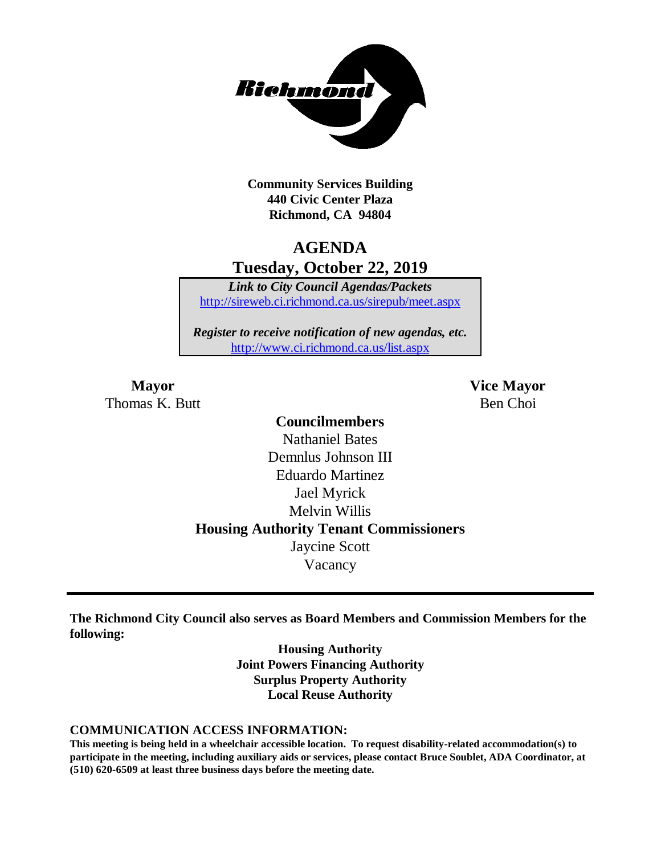

**Community Services Building 440 Civic Center Plaza Richmond, CA 94804**

## **AGENDA Tuesday, October 22, 2019**

*Link to City Council Agendas/Packets* <http://sireweb.ci.richmond.ca.us/sirepub/meet.aspx>

*Register to receive notification of new agendas, etc.* <http://www.ci.richmond.ca.us/list.aspx>

Thomas K. Butt Ben Choi

**Mayor Vice Mayor**

## **Councilmembers** Nathaniel Bates Demnlus Johnson III Eduardo Martinez Jael Myrick Melvin Willis **Housing Authority Tenant Commissioners** Jaycine Scott Vacancy

**The Richmond City Council also serves as Board Members and Commission Members for the following:**

> **Housing Authority Joint Powers Financing Authority Surplus Property Authority Local Reuse Authority**

#### **COMMUNICATION ACCESS INFORMATION:**

**This meeting is being held in a wheelchair accessible location. To request disability-related accommodation(s) to participate in the meeting, including auxiliary aids or services, please contact Bruce Soublet, ADA Coordinator, at (510) 620-6509 at least three business days before the meeting date.**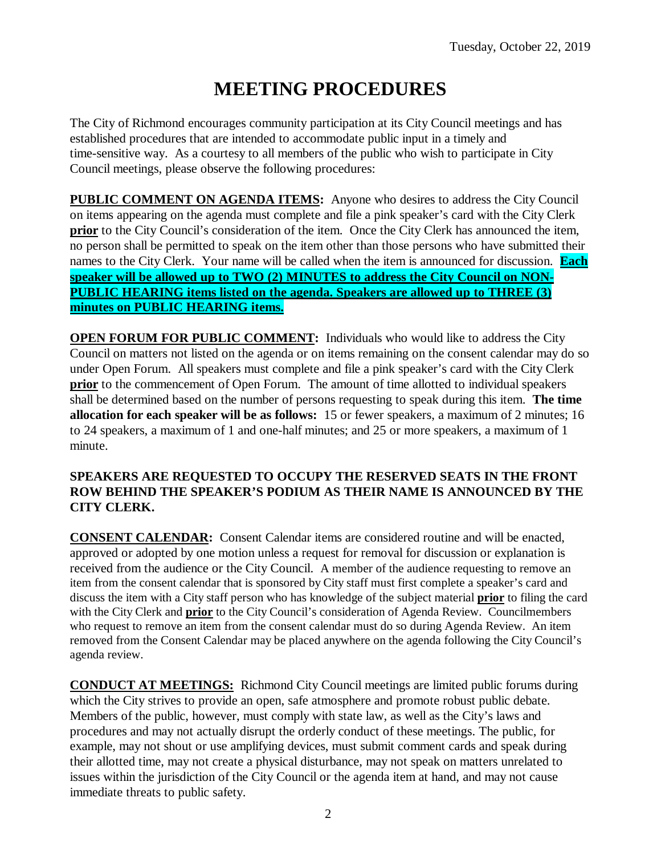# **MEETING PROCEDURES**

The City of Richmond encourages community participation at its City Council meetings and has established procedures that are intended to accommodate public input in a timely and time-sensitive way. As a courtesy to all members of the public who wish to participate in City Council meetings, please observe the following procedures:

**PUBLIC COMMENT ON AGENDA ITEMS:** Anyone who desires to address the City Council on items appearing on the agenda must complete and file a pink speaker's card with the City Clerk **prior** to the City Council's consideration of the item. Once the City Clerk has announced the item, no person shall be permitted to speak on the item other than those persons who have submitted their names to the City Clerk. Your name will be called when the item is announced for discussion. **Each speaker will be allowed up to TWO (2) MINUTES to address the City Council on NON-PUBLIC HEARING items listed on the agenda. Speakers are allowed up to THREE (3) minutes on PUBLIC HEARING items.**

**OPEN FORUM FOR PUBLIC COMMENT:** Individuals who would like to address the City Council on matters not listed on the agenda or on items remaining on the consent calendar may do so under Open Forum. All speakers must complete and file a pink speaker's card with the City Clerk **prior** to the commencement of Open Forum. The amount of time allotted to individual speakers shall be determined based on the number of persons requesting to speak during this item. **The time allocation for each speaker will be as follows:** 15 or fewer speakers, a maximum of 2 minutes; 16 to 24 speakers, a maximum of 1 and one-half minutes; and 25 or more speakers, a maximum of 1 minute.

#### **SPEAKERS ARE REQUESTED TO OCCUPY THE RESERVED SEATS IN THE FRONT ROW BEHIND THE SPEAKER'S PODIUM AS THEIR NAME IS ANNOUNCED BY THE CITY CLERK.**

**CONSENT CALENDAR:** Consent Calendar items are considered routine and will be enacted, approved or adopted by one motion unless a request for removal for discussion or explanation is received from the audience or the City Council. A member of the audience requesting to remove an item from the consent calendar that is sponsored by City staff must first complete a speaker's card and discuss the item with a City staff person who has knowledge of the subject material **prior** to filing the card with the City Clerk and **prior** to the City Council's consideration of Agenda Review. Councilmembers who request to remove an item from the consent calendar must do so during Agenda Review. An item removed from the Consent Calendar may be placed anywhere on the agenda following the City Council's agenda review.

**CONDUCT AT MEETINGS:** Richmond City Council meetings are limited public forums during which the City strives to provide an open, safe atmosphere and promote robust public debate. Members of the public, however, must comply with state law, as well as the City's laws and procedures and may not actually disrupt the orderly conduct of these meetings. The public, for example, may not shout or use amplifying devices, must submit comment cards and speak during their allotted time, may not create a physical disturbance, may not speak on matters unrelated to issues within the jurisdiction of the City Council or the agenda item at hand, and may not cause immediate threats to public safety.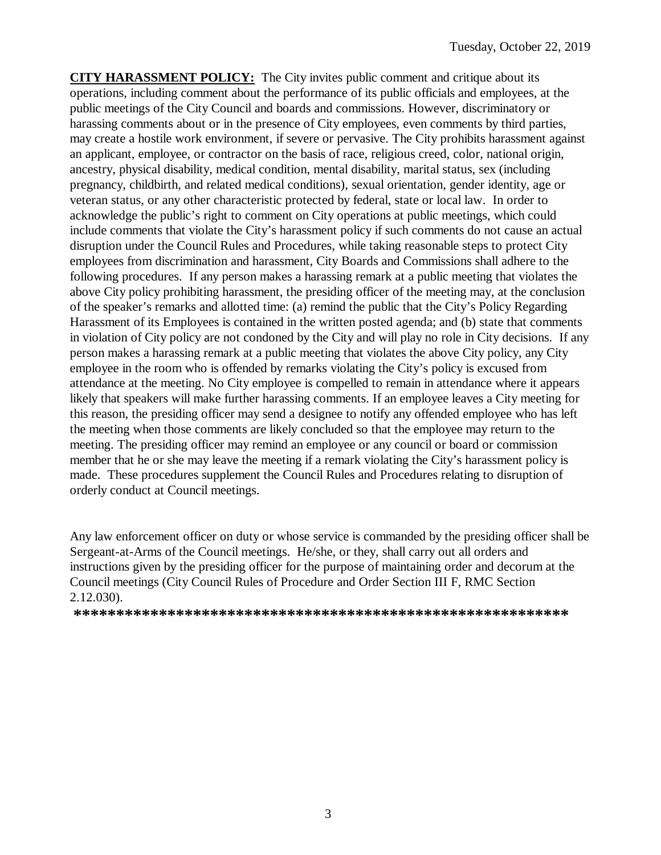**CITY HARASSMENT POLICY:** The City invites public comment and critique about its operations, including comment about the performance of its public officials and employees, at the public meetings of the City Council and boards and commissions. However, discriminatory or harassing comments about or in the presence of City employees, even comments by third parties, may create a hostile work environment, if severe or pervasive. The City prohibits harassment against an applicant, employee, or contractor on the basis of race, religious creed, color, national origin, ancestry, physical disability, medical condition, mental disability, marital status, sex (including pregnancy, childbirth, and related medical conditions), sexual orientation, gender identity, age or veteran status, or any other characteristic protected by federal, state or local law. In order to acknowledge the public's right to comment on City operations at public meetings, which could include comments that violate the City's harassment policy if such comments do not cause an actual disruption under the Council Rules and Procedures, while taking reasonable steps to protect City employees from discrimination and harassment, City Boards and Commissions shall adhere to the following procedures. If any person makes a harassing remark at a public meeting that violates the above City policy prohibiting harassment, the presiding officer of the meeting may, at the conclusion of the speaker's remarks and allotted time: (a) remind the public that the City's Policy Regarding Harassment of its Employees is contained in the written posted agenda; and (b) state that comments in violation of City policy are not condoned by the City and will play no role in City decisions. If any person makes a harassing remark at a public meeting that violates the above City policy, any City employee in the room who is offended by remarks violating the City's policy is excused from attendance at the meeting. No City employee is compelled to remain in attendance where it appears likely that speakers will make further harassing comments. If an employee leaves a City meeting for this reason, the presiding officer may send a designee to notify any offended employee who has left the meeting when those comments are likely concluded so that the employee may return to the meeting. The presiding officer may remind an employee or any council or board or commission member that he or she may leave the meeting if a remark violating the City's harassment policy is made. These procedures supplement the Council Rules and Procedures relating to disruption of orderly conduct at Council meetings.

Any law enforcement officer on duty or whose service is commanded by the presiding officer shall be Sergeant-at-Arms of the Council meetings. He/she, or they, shall carry out all orders and instructions given by the presiding officer for the purpose of maintaining order and decorum at the Council meetings (City Council Rules of Procedure and Order Section III F, RMC Section 2.12.030).

**\*\*\*\*\*\*\*\*\*\*\*\*\*\*\*\*\*\*\*\*\*\*\*\*\*\*\*\*\*\*\*\*\*\*\*\*\*\*\*\*\*\*\*\*\*\*\*\*\*\*\*\*\*\*\*\*\*\***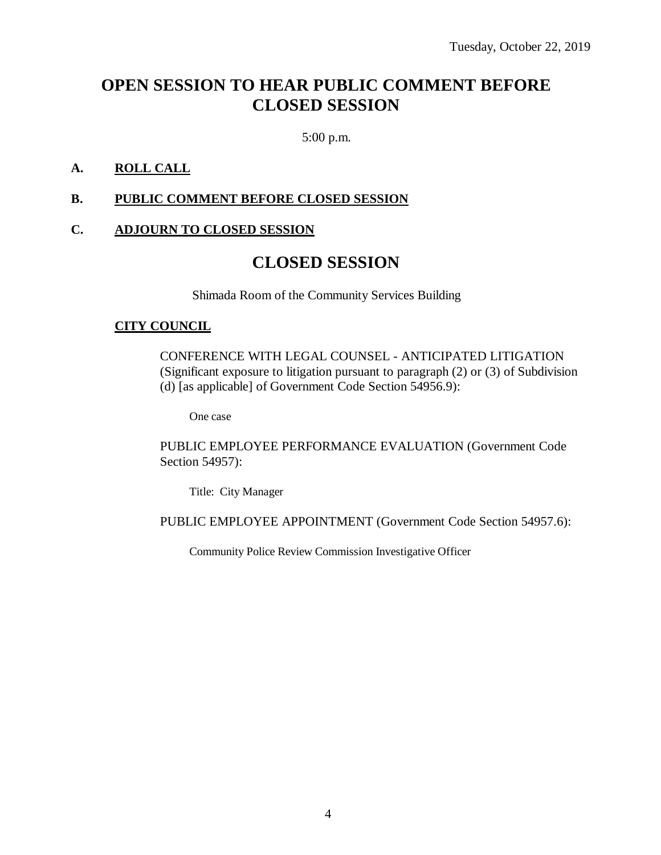## **OPEN SESSION TO HEAR PUBLIC COMMENT BEFORE CLOSED SESSION**

5:00 p.m.

### **A. ROLL CALL**

#### **B. PUBLIC COMMENT BEFORE CLOSED SESSION**

## **C. ADJOURN TO CLOSED SESSION**

## **CLOSED SESSION**

Shimada Room of the Community Services Building

#### **CITY COUNCIL**

CONFERENCE WITH LEGAL COUNSEL - ANTICIPATED LITIGATION (Significant exposure to litigation pursuant to paragraph (2) or (3) of Subdivision (d) [as applicable] of Government Code Section 54956.9):

One case

PUBLIC EMPLOYEE PERFORMANCE EVALUATION (Government Code Section 54957):

Title: City Manager

PUBLIC EMPLOYEE APPOINTMENT (Government Code Section 54957.6):

Community Police Review Commission Investigative Officer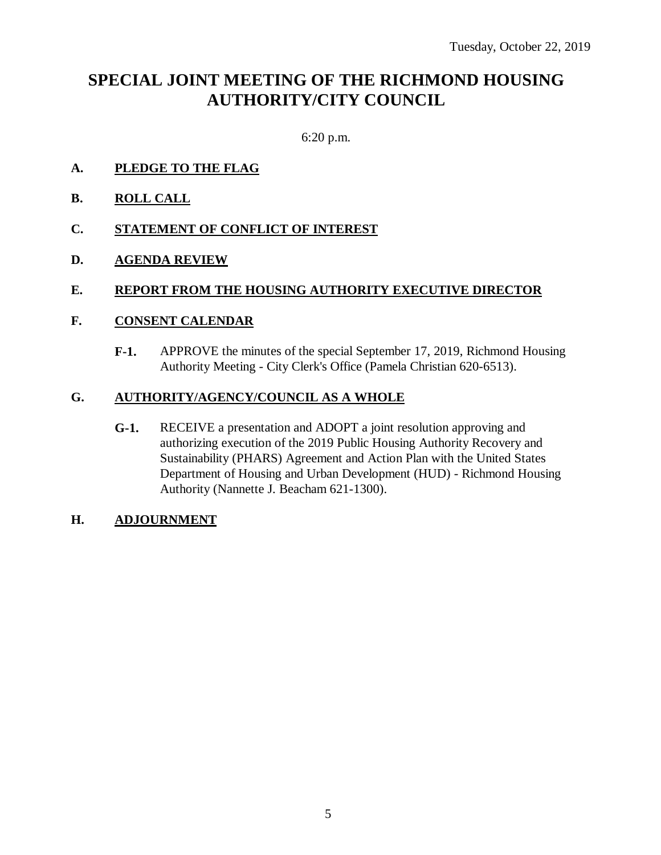## **SPECIAL JOINT MEETING OF THE RICHMOND HOUSING AUTHORITY/CITY COUNCIL**

6:20 p.m.

- **A. PLEDGE TO THE FLAG**
- **B. ROLL CALL**
- **C. STATEMENT OF CONFLICT OF INTEREST**
- **D. AGENDA REVIEW**

#### **E. REPORT FROM THE HOUSING AUTHORITY EXECUTIVE DIRECTOR**

#### **F. CONSENT CALENDAR**

**F-1.** APPROVE the minutes of the special September 17, 2019, Richmond Housing Authority Meeting - City Clerk's Office (Pamela Christian 620-6513).

#### **G. AUTHORITY/AGENCY/COUNCIL AS A WHOLE**

**G-1.** RECEIVE a presentation and ADOPT a joint resolution approving and authorizing execution of the 2019 Public Housing Authority Recovery and Sustainability (PHARS) Agreement and Action Plan with the United States Department of Housing and Urban Development (HUD) - Richmond Housing Authority (Nannette J. Beacham 621-1300).

#### **H. ADJOURNMENT**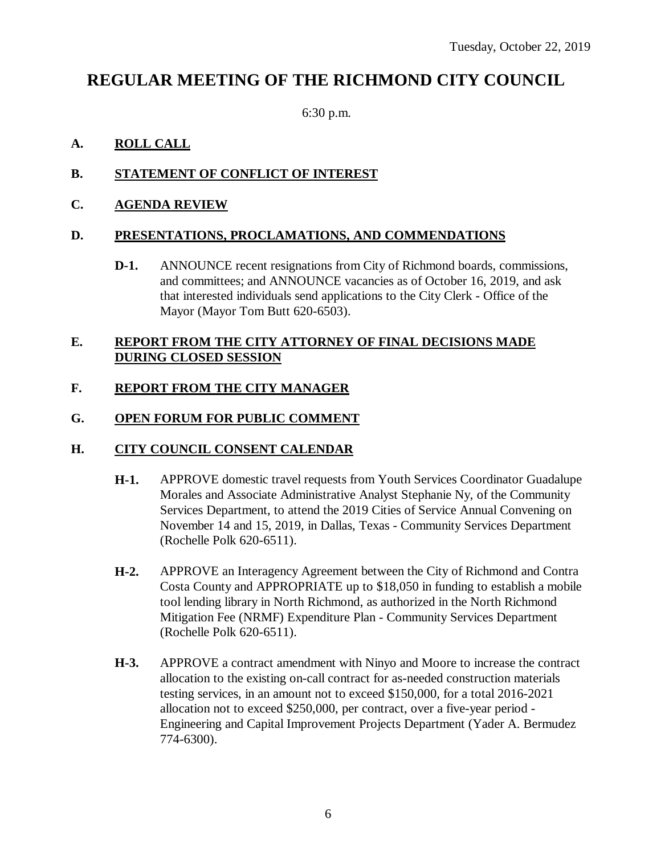## **REGULAR MEETING OF THE RICHMOND CITY COUNCIL**

6:30 p.m.

## **A. ROLL CALL**

## **B. STATEMENT OF CONFLICT OF INTEREST**

### **C. AGENDA REVIEW**

#### **D. PRESENTATIONS, PROCLAMATIONS, AND COMMENDATIONS**

**D-1.** ANNOUNCE recent resignations from City of Richmond boards, commissions, and committees; and ANNOUNCE vacancies as of October 16, 2019, and ask that interested individuals send applications to the City Clerk - Office of the Mayor (Mayor Tom Butt 620-6503).

### **E. REPORT FROM THE CITY ATTORNEY OF FINAL DECISIONS MADE DURING CLOSED SESSION**

### **F. REPORT FROM THE CITY MANAGER**

### **G. OPEN FORUM FOR PUBLIC COMMENT**

#### **H. CITY COUNCIL CONSENT CALENDAR**

- **H-1.** APPROVE domestic travel requests from Youth Services Coordinator Guadalupe Morales and Associate Administrative Analyst Stephanie Ny, of the Community Services Department, to attend the 2019 Cities of Service Annual Convening on November 14 and 15, 2019, in Dallas, Texas - Community Services Department (Rochelle Polk 620-6511).
- **H-2.** APPROVE an Interagency Agreement between the City of Richmond and Contra Costa County and APPROPRIATE up to \$18,050 in funding to establish a mobile tool lending library in North Richmond, as authorized in the North Richmond Mitigation Fee (NRMF) Expenditure Plan - Community Services Department (Rochelle Polk 620-6511).
- **H-3.** APPROVE a contract amendment with Ninyo and Moore to increase the contract allocation to the existing on-call contract for as-needed construction materials testing services, in an amount not to exceed \$150,000, for a total 2016-2021 allocation not to exceed \$250,000, per contract, over a five-year period - Engineering and Capital Improvement Projects Department (Yader A. Bermudez 774-6300).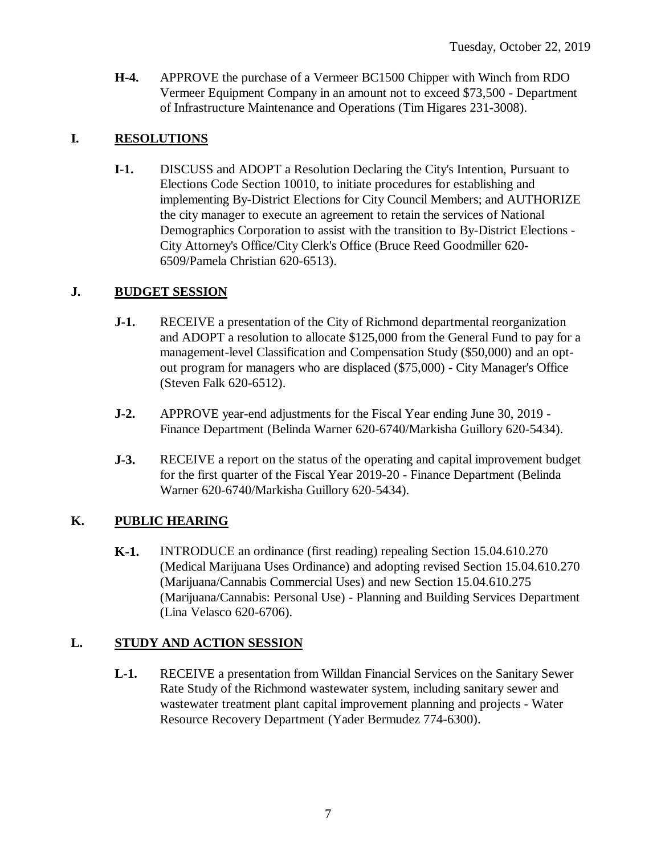**H-4.** APPROVE the purchase of a Vermeer BC1500 Chipper with Winch from RDO Vermeer Equipment Company in an amount not to exceed \$73,500 - Department of Infrastructure Maintenance and Operations (Tim Higares 231-3008).

## **I. RESOLUTIONS**

**I-1.** DISCUSS and ADOPT a Resolution Declaring the City's Intention, Pursuant to Elections Code Section 10010, to initiate procedures for establishing and implementing By-District Elections for City Council Members; and AUTHORIZE the city manager to execute an agreement to retain the services of National Demographics Corporation to assist with the transition to By-District Elections - City Attorney's Office/City Clerk's Office (Bruce Reed Goodmiller 620- 6509/Pamela Christian 620-6513).

## **J. BUDGET SESSION**

- **J-1.** RECEIVE a presentation of the City of Richmond departmental reorganization and ADOPT a resolution to allocate \$125,000 from the General Fund to pay for a management-level Classification and Compensation Study (\$50,000) and an optout program for managers who are displaced (\$75,000) - City Manager's Office (Steven Falk 620-6512).
- **J-2.** APPROVE year-end adjustments for the Fiscal Year ending June 30, 2019 Finance Department (Belinda Warner 620-6740/Markisha Guillory 620-5434).
- **J-3.** RECEIVE a report on the status of the operating and capital improvement budget for the first quarter of the Fiscal Year 2019-20 - Finance Department (Belinda Warner 620-6740/Markisha Guillory 620-5434).

## **K. PUBLIC HEARING**

**K-1.** INTRODUCE an ordinance (first reading) repealing Section 15.04.610.270 (Medical Marijuana Uses Ordinance) and adopting revised Section 15.04.610.270 (Marijuana/Cannabis Commercial Uses) and new Section 15.04.610.275 (Marijuana/Cannabis: Personal Use) - Planning and Building Services Department (Lina Velasco 620-6706).

## **L. STUDY AND ACTION SESSION**

**L-1.** RECEIVE a presentation from Willdan Financial Services on the Sanitary Sewer Rate Study of the Richmond wastewater system, including sanitary sewer and wastewater treatment plant capital improvement planning and projects - Water Resource Recovery Department (Yader Bermudez 774-6300).